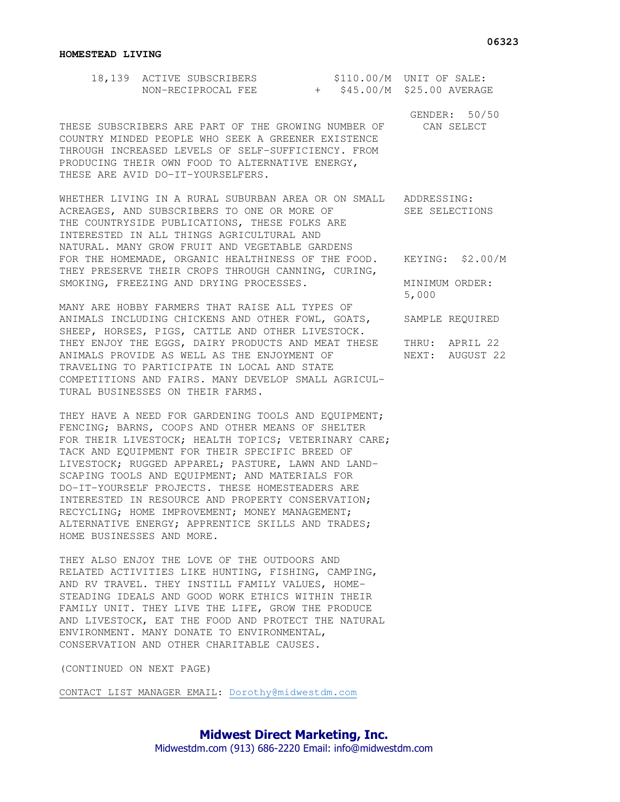| 18,139 ACTIVE SUBSCRIBERS |  | $$110.00/M$ UNIT OF SALE:   |
|---------------------------|--|-----------------------------|
| NON-RECIPROCAL FEE        |  | + \$45.00/M \$25.00 AVERAGE |

THESE SUBSCRIBERS ARE PART OF THE GROWING NUMBER OF CAN SELECT COUNTRY MINDED PEOPLE WHO SEEK A GREENER EXISTENCE THROUGH INCREASED LEVELS OF SELF-SUFFICIENCY. FROM PRODUCING THEIR OWN FOOD TO ALTERNATIVE ENERGY, THESE ARE AVID DO-IT-YOURSELFERS.

WHETHER LIVING IN A RURAL SUBURBAN AREA OR ON SMALL ADDRESSING: ACREAGES, AND SUBSCRIBERS TO ONE OR MORE OF SEE SELECTIONS THE COUNTRYSIDE PUBLICATIONS, THESE FOLKS ARE INTERESTED IN ALL THINGS AGRICULTURAL AND NATURAL. MANY GROW FRUIT AND VEGETABLE GARDENS FOR THE HOMEMADE, ORGANIC HEALTHINESS OF THE FOOD. KEYING: \$2.00/M THEY PRESERVE THEIR CROPS THROUGH CANNING, CURING, SMOKING, FREEZING AND DRYING PROCESSES. MINIMUM ORDER:

MANY ARE HOBBY FARMERS THAT RAISE ALL TYPES OF ANIMALS INCLUDING CHICKENS AND OTHER FOWL, GOATS, SAMPLE REQUIRED SHEEP, HORSES, PIGS, CATTLE AND OTHER LIVESTOCK. THEY ENJOY THE EGGS, DAIRY PRODUCTS AND MEAT THESE THRU: APRIL 22 ANIMALS PROVIDE AS WELL AS THE ENJOYMENT OF NEXT: AUGUST 22 TRAVELING TO PARTICIPATE IN LOCAL AND STATE COMPETITIONS AND FAIRS. MANY DEVELOP SMALL AGRICUL-TURAL BUSINESSES ON THEIR FARMS.

THEY HAVE A NEED FOR GARDENING TOOLS AND EQUIPMENT; FENCING; BARNS, COOPS AND OTHER MEANS OF SHELTER FOR THEIR LIVESTOCK; HEALTH TOPICS; VETERINARY CARE; TACK AND EQUIPMENT FOR THEIR SPECIFIC BREED OF LIVESTOCK; RUGGED APPAREL; PASTURE, LAWN AND LAND-SCAPING TOOLS AND EQUIPMENT; AND MATERIALS FOR DO-IT-YOURSELF PROJECTS. THESE HOMESTEADERS ARE INTERESTED IN RESOURCE AND PROPERTY CONSERVATION; RECYCLING; HOME IMPROVEMENT; MONEY MANAGEMENT; ALTERNATIVE ENERGY; APPRENTICE SKILLS AND TRADES; HOME BUSINESSES AND MORE.

THEY ALSO ENJOY THE LOVE OF THE OUTDOORS AND RELATED ACTIVITIES LIKE HUNTING, FISHING, CAMPING, AND RV TRAVEL. THEY INSTILL FAMILY VALUES, HOME-STEADING IDEALS AND GOOD WORK ETHICS WITHIN THEIR FAMILY UNIT. THEY LIVE THE LIFE, GROW THE PRODUCE AND LIVESTOCK, EAT THE FOOD AND PROTECT THE NATURAL ENVIRONMENT. MANY DONATE TO ENVIRONMENTAL, CONSERVATION AND OTHER CHARITABLE CAUSES.

(CONTINUED ON NEXT PAGE)

CONTACT LIST MANAGER EMAIL: Dorothy@midwestdm.com

5,000

GENDER: 50/50